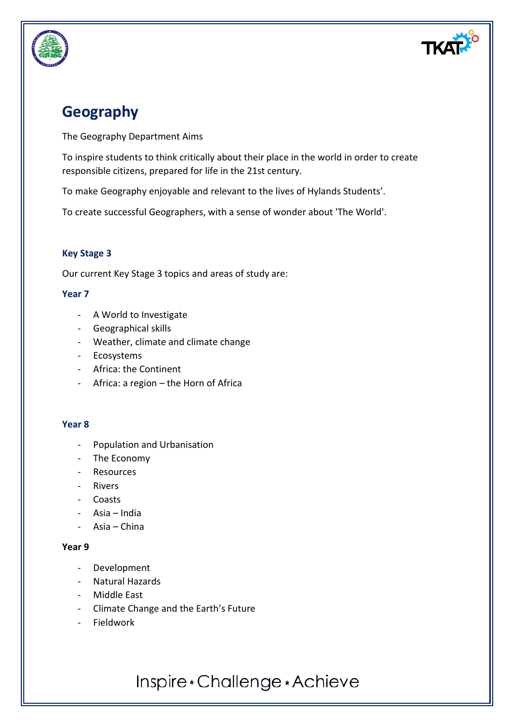

## **Geography**

The Geography Department Aims

To inspire students to think critically about their place in the world in order to create responsible citizens, prepared for life in the 21st century.

To make Geography enjoyable and relevant to the lives of Hylands Students'.

To create successful Geographers, with a sense of wonder about 'The World'.

#### **Key Stage 3**

Our current Key Stage 3 topics and areas of study are:

#### **Year 7**

- A World to Investigate
- Geographical skills
- Weather, climate and climate change
- Ecosystems
- Africa: the Continent
- Africa: a region the Horn of Africa

#### **Year 8**

- Population and Urbanisation
- The Economy
- Resources
- Rivers
- Coasts
- Asia India
- Asia China

#### **Year 9**

- Development
- Natural Hazards
- Middle East
- Climate Change and the Earth's Future
- Fieldwork

Inspire \* Challenge \* Achieve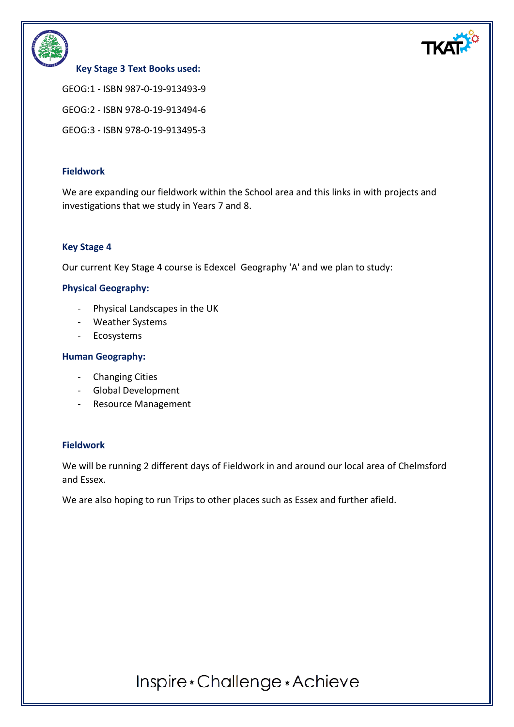



#### **Key Stage 3 Text Books used:**

GEOG:1 - ISBN 987-0-19-913493-9

GEOG:2 - ISBN 978-0-19-913494-6

GEOG:3 - ISBN 978-0-19-913495-3

#### **Fieldwork**

We are expanding our fieldwork within the School area and this links in with projects and investigations that we study in Years 7 and 8.

#### **Key Stage 4**

Our current Key Stage 4 course is Edexcel Geography 'A' and we plan to study:

#### **Physical Geography:**

- Physical Landscapes in the UK
- Weather Systems
- Ecosystems

#### **Human Geography:**

- Changing Cities
- Global Development
- Resource Management

#### **Fieldwork**

We will be running 2 different days of Fieldwork in and around our local area of Chelmsford and Essex.

We are also hoping to run Trips to other places such as Essex and further afield.

Inspire \* Challenge \* Achieve